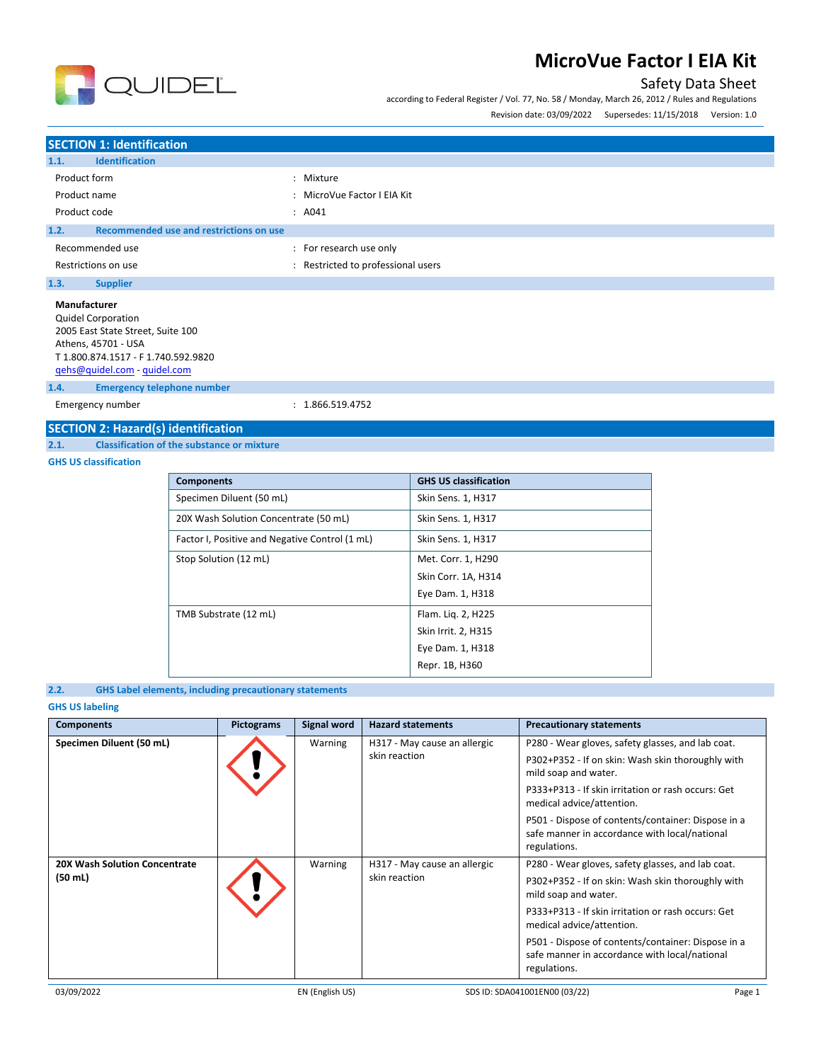

# Safety Data Sheet

according to Federal Register / Vol. 77, No. 58 / Monday, March 26, 2012 / Rules and Regulations

Revision date: 03/09/2022 Supersedes: 11/15/2018 Version: 1.0

### **SECTION 1: Identification 1.1. Identification** Product form  $\qquad \qquad : \qquad$  Mixture Product name  $\qquad \qquad : \qquad \text{MicroVue Factor I EIA Kit}$ Product code : A041 :  $\overline{A041}$ **1.2. Recommended use and restrictions on use** Recommended use  $\blacksquare$ : For research use only Restrictions on use **interest in the COV** and Restricted to professional users **1.3. Supplier Manufacturer** Quidel Corporation 2005 East State Street, Suite 100 Athens, 45701 - USA T 1.800.874.1517 - F 1.740.592.9820 [qehs@quidel.com](mailto:qehs@quidel.com) - [quidel.com](http://quidel.com/)

**1.4. Emergency telephone number**

Emergency number : 1.866.519.4752

# **SECTION 2: Hazard(s) identification**<br>2.1. Classification of the substance or

**2.1. Classification of the substance or mixture**

### **GHS US classification**

| <b>Components</b>                              | <b>GHS US classification</b> |
|------------------------------------------------|------------------------------|
| Specimen Diluent (50 mL)                       | Skin Sens. 1, H317           |
| 20X Wash Solution Concentrate (50 mL)          | Skin Sens. 1, H317           |
| Factor I, Positive and Negative Control (1 mL) | Skin Sens. 1, H317           |
| Stop Solution (12 mL)                          | Met. Corr. 1, H290           |
|                                                | Skin Corr. 1A, H314          |
|                                                | Eye Dam. 1, H318             |
| TMB Substrate (12 mL)                          | Flam. Lig. 2, H225           |
|                                                | Skin Irrit. 2, H315          |
|                                                | Eye Dam. 1, H318             |
|                                                | Repr. 1B, H360               |

### **2.2. GHS Label elements, including precautionary statements**

### **GHS US labeling**

| <b>Components</b>                    | <b>Pictograms</b> | <b>Signal word</b> | <b>Hazard statements</b>     | <b>Precautionary statements</b>                                                                                     |
|--------------------------------------|-------------------|--------------------|------------------------------|---------------------------------------------------------------------------------------------------------------------|
| Specimen Diluent (50 mL)             |                   | Warning            | H317 - May cause an allergic | P280 - Wear gloves, safety glasses, and lab coat.                                                                   |
|                                      |                   |                    | skin reaction                | P302+P352 - If on skin: Wash skin thoroughly with<br>mild soap and water.                                           |
|                                      |                   |                    |                              | P333+P313 - If skin irritation or rash occurs: Get<br>medical advice/attention.                                     |
|                                      |                   |                    |                              | P501 - Dispose of contents/container: Dispose in a<br>safe manner in accordance with local/national<br>regulations. |
| <b>20X Wash Solution Concentrate</b> |                   | Warning            | H317 - May cause an allergic | P280 - Wear gloves, safety glasses, and lab coat.                                                                   |
| (50 ml)                              |                   |                    | skin reaction                | P302+P352 - If on skin: Wash skin thoroughly with<br>mild soap and water.                                           |
|                                      |                   |                    |                              | P333+P313 - If skin irritation or rash occurs: Get<br>medical advice/attention.                                     |
|                                      |                   |                    |                              | P501 - Dispose of contents/container: Dispose in a<br>safe manner in accordance with local/national<br>regulations. |
| 03/09/2022                           |                   | EN (English US)    |                              | SDS ID: SDA041001EN00 (03/22)<br>Page 1                                                                             |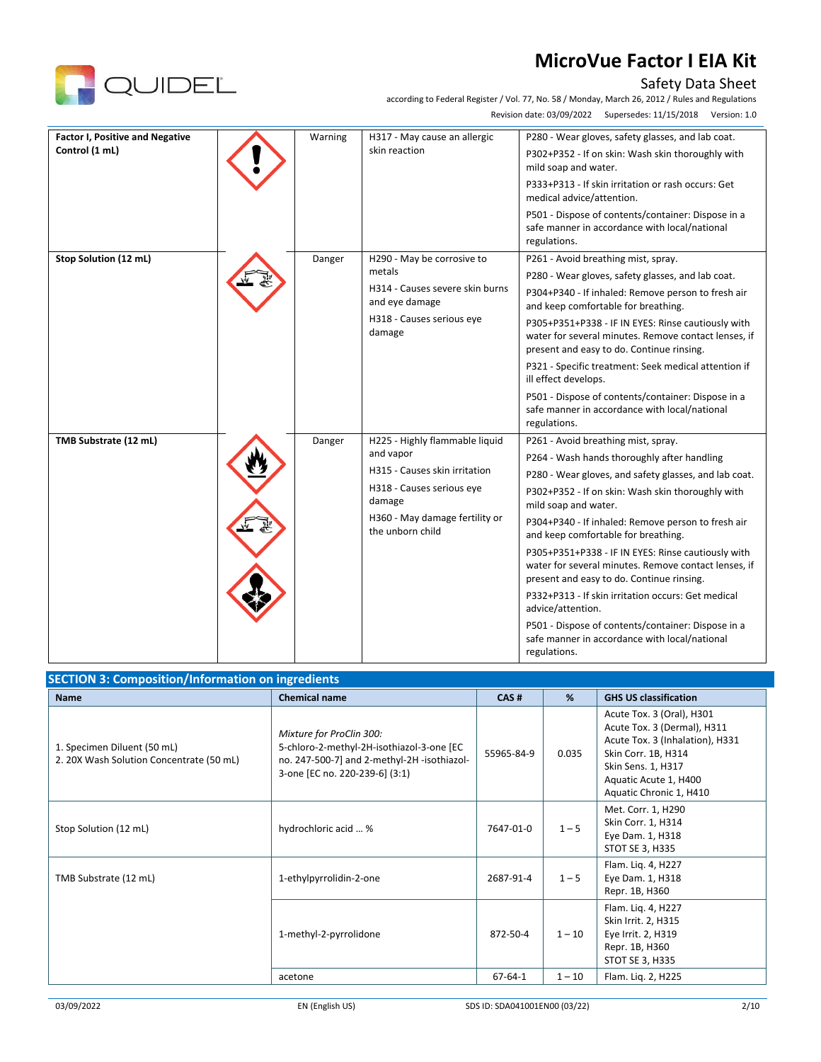P332+P313 - If skin irritation occurs: Get medical

P501 - Dispose of contents/container: Dispose in a safe manner in accordance with local/national

advice/attention.

# Safety Data Sheet<br>6, 2012 / Rules and Regulations

according to Federal Register / Vol. 77, No. 58 / Monday, March 26, 2012 / Rules and Regulations

|                                                          |         |                                                                                                                                                                           | according to Federal Register / Vol. 77, No. 58 / Monday, March 26, 2012 / Rules and Regulations<br>Supersedes: 11/15/2018<br>Revision date: 03/09/2022<br>Version: 1.0                                                                                                                                                                                                                                                                                                                                                                                 |
|----------------------------------------------------------|---------|---------------------------------------------------------------------------------------------------------------------------------------------------------------------------|---------------------------------------------------------------------------------------------------------------------------------------------------------------------------------------------------------------------------------------------------------------------------------------------------------------------------------------------------------------------------------------------------------------------------------------------------------------------------------------------------------------------------------------------------------|
| <b>Factor I, Positive and Negative</b><br>Control (1 mL) | Warning | H317 - May cause an allergic<br>skin reaction                                                                                                                             | P280 - Wear gloves, safety glasses, and lab coat.<br>P302+P352 - If on skin: Wash skin thoroughly with<br>mild soap and water.<br>P333+P313 - If skin irritation or rash occurs: Get<br>medical advice/attention.<br>P501 - Dispose of contents/container: Dispose in a<br>safe manner in accordance with local/national<br>regulations.                                                                                                                                                                                                                |
| Stop Solution (12 mL)                                    | Danger  | H290 - May be corrosive to<br>metals<br>H314 - Causes severe skin burns<br>and eye damage<br>H318 - Causes serious eye<br>damage                                          | P261 - Avoid breathing mist, spray.<br>P280 - Wear gloves, safety glasses, and lab coat.<br>P304+P340 - If inhaled: Remove person to fresh air<br>and keep comfortable for breathing.<br>P305+P351+P338 - IF IN EYES: Rinse cautiously with<br>water for several minutes. Remove contact lenses, if<br>present and easy to do. Continue rinsing.<br>P321 - Specific treatment: Seek medical attention if<br>ill effect develops.<br>P501 - Dispose of contents/container: Dispose in a<br>safe manner in accordance with local/national<br>regulations. |
| TMB Substrate (12 mL)                                    | Danger  | H225 - Highly flammable liquid<br>and vapor<br>H315 - Causes skin irritation<br>H318 - Causes serious eye<br>damage<br>H360 - May damage fertility or<br>the unborn child | P261 - Avoid breathing mist, spray.<br>P264 - Wash hands thoroughly after handling<br>P280 - Wear gloves, and safety glasses, and lab coat.<br>P302+P352 - If on skin: Wash skin thoroughly with<br>mild soap and water.<br>P304+P340 - If inhaled: Remove person to fresh air<br>and keep comfortable for breathing.<br>P305+P351+P338 - IF IN EYES: Rinse cautiously with<br>water for several minutes. Remove contact lenses, if<br>present and easy to do. Continue rinsing.                                                                        |

|                                                                         |                                                                                                                                                       |               | regulations. |                                                                                                                                                                                              |
|-------------------------------------------------------------------------|-------------------------------------------------------------------------------------------------------------------------------------------------------|---------------|--------------|----------------------------------------------------------------------------------------------------------------------------------------------------------------------------------------------|
| <b>SECTION 3: Composition/Information on ingredients</b>                |                                                                                                                                                       |               |              |                                                                                                                                                                                              |
| <b>Name</b>                                                             | <b>Chemical name</b>                                                                                                                                  | CAS#          | %            | <b>GHS US classification</b>                                                                                                                                                                 |
| 1. Specimen Diluent (50 mL)<br>2. 20X Wash Solution Concentrate (50 mL) | Mixture for ProClin 300:<br>5-chloro-2-methyl-2H-isothiazol-3-one [EC<br>no. 247-500-7] and 2-methyl-2H-isothiazol-<br>3-one [EC no. 220-239-6] (3:1) | 55965-84-9    | 0.035        | Acute Tox. 3 (Oral), H301<br>Acute Tox. 3 (Dermal), H311<br>Acute Tox. 3 (Inhalation), H331<br>Skin Corr. 1B, H314<br>Skin Sens. 1, H317<br>Aquatic Acute 1, H400<br>Aquatic Chronic 1, H410 |
| Stop Solution (12 mL)                                                   | hydrochloric acid  %                                                                                                                                  | 7647-01-0     | $1 - 5$      | Met. Corr. 1, H290<br>Skin Corr. 1, H314<br>Eye Dam. 1, H318<br>STOT SE 3, H335                                                                                                              |
| TMB Substrate (12 mL)                                                   | 1-ethylpyrrolidin-2-one                                                                                                                               | 2687-91-4     | $1 - 5$      | Flam. Lig. 4, H227<br>Eye Dam. 1, H318<br>Repr. 1B, H360                                                                                                                                     |
|                                                                         | 1-methyl-2-pyrrolidone                                                                                                                                | 872-50-4      | $1 - 10$     | Flam. Lig. 4, H227<br>Skin Irrit. 2, H315<br>Eye Irrit. 2, H319<br>Repr. 1B, H360<br>STOT SE 3, H335                                                                                         |
|                                                                         | acetone                                                                                                                                               | $67 - 64 - 1$ | $1 - 10$     | Flam. Liq. 2, H225                                                                                                                                                                           |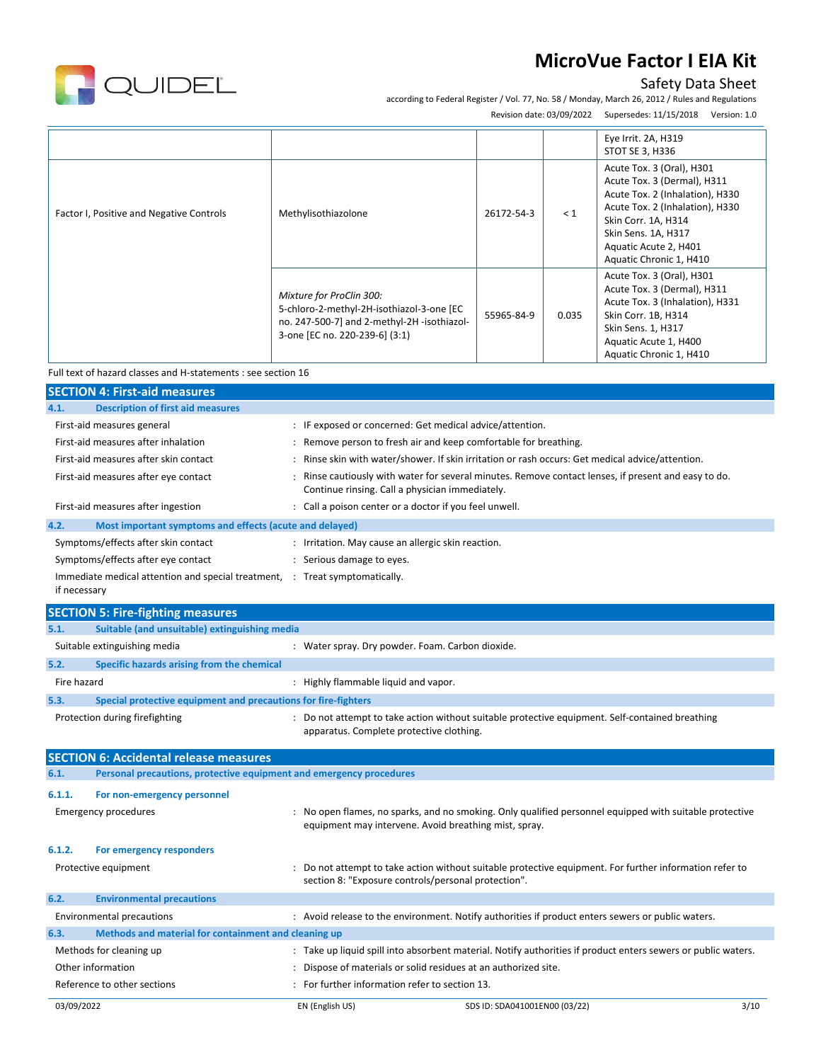

# Safety Data Sheet

according to Federal Register / Vol. 77, No. 58 / Monday, March 26, 2012 / Rules and Regulations

Revision date: 03/09/2022 Supersedes: 11/15/2018 Version: 1.0

|                                          |                                                                                                                                                       |            |          | Eye Irrit. 2A, H319<br>STOT SE 3, H336                                                                                                                                                                                           |
|------------------------------------------|-------------------------------------------------------------------------------------------------------------------------------------------------------|------------|----------|----------------------------------------------------------------------------------------------------------------------------------------------------------------------------------------------------------------------------------|
| Factor I, Positive and Negative Controls | Methylisothiazolone                                                                                                                                   | 26172-54-3 | $\leq 1$ | Acute Tox. 3 (Oral), H301<br>Acute Tox. 3 (Dermal), H311<br>Acute Tox. 2 (Inhalation), H330<br>Acute Tox. 2 (Inhalation), H330<br>Skin Corr. 1A, H314<br>Skin Sens. 1A, H317<br>Aquatic Acute 2, H401<br>Aquatic Chronic 1, H410 |
|                                          | Mixture for ProClin 300:<br>5-chloro-2-methyl-2H-isothiazol-3-one [EC<br>no. 247-500-7] and 2-methyl-2H-isothiazol-<br>3-one [EC no. 220-239-6] (3:1) | 55965-84-9 | 0.035    | Acute Tox. 3 (Oral), H301<br>Acute Tox. 3 (Dermal), H311<br>Acute Tox. 3 (Inhalation), H331<br>Skin Corr. 1B, H314<br>Skin Sens. 1, H317<br>Aquatic Acute 1, H400<br>Aquatic Chronic 1, H410                                     |

Full text of hazard classes and H-statements : see section 16

|              | <b>SECTION 4: First-aid measures</b>                                        |                      |                                                                |                                                                                                               |  |
|--------------|-----------------------------------------------------------------------------|----------------------|----------------------------------------------------------------|---------------------------------------------------------------------------------------------------------------|--|
| 4.1.         | <b>Description of first aid measures</b>                                    |                      |                                                                |                                                                                                               |  |
|              | First-aid measures general                                                  |                      | : IF exposed or concerned: Get medical advice/attention.       |                                                                                                               |  |
|              | First-aid measures after inhalation                                         | ÷                    | Remove person to fresh air and keep comfortable for breathing. |                                                                                                               |  |
|              | First-aid measures after skin contact                                       |                      |                                                                | Rinse skin with water/shower. If skin irritation or rash occurs: Get medical advice/attention.                |  |
|              | First-aid measures after eye contact                                        |                      | Continue rinsing. Call a physician immediately.                | Rinse cautiously with water for several minutes. Remove contact lenses, if present and easy to do.            |  |
|              | First-aid measures after ingestion                                          |                      | : Call a poison center or a doctor if you feel unwell.         |                                                                                                               |  |
| 4.2.         | Most important symptoms and effects (acute and delayed)                     |                      |                                                                |                                                                                                               |  |
|              | Symptoms/effects after skin contact                                         |                      | : Irritation. May cause an allergic skin reaction.             |                                                                                                               |  |
|              | Symptoms/effects after eye contact                                          |                      | : Serious damage to eyes.                                      |                                                                                                               |  |
| if necessary | Immediate medical attention and special treatment, : Treat symptomatically. |                      |                                                                |                                                                                                               |  |
|              | <b>SECTION 5: Fire-fighting measures</b>                                    |                      |                                                                |                                                                                                               |  |
| 5.1.         | Suitable (and unsuitable) extinguishing media                               |                      |                                                                |                                                                                                               |  |
|              | Suitable extinguishing media                                                |                      | : Water spray. Dry powder. Foam. Carbon dioxide.               |                                                                                                               |  |
| 5.2.         | Specific hazards arising from the chemical                                  |                      |                                                                |                                                                                                               |  |
| Fire hazard  |                                                                             |                      | : Highly flammable liquid and vapor.                           |                                                                                                               |  |
| 5.3.         | Special protective equipment and precautions for fire-fighters              |                      |                                                                |                                                                                                               |  |
|              | Protection during firefighting                                              |                      | apparatus. Complete protective clothing.                       | : Do not attempt to take action without suitable protective equipment. Self-contained breathing               |  |
|              | <b>SECTION 6: Accidental release measures</b>                               |                      |                                                                |                                                                                                               |  |
| 6.1.         | Personal precautions, protective equipment and emergency procedures         |                      |                                                                |                                                                                                               |  |
| 6.1.1.       | For non-emergency personnel                                                 |                      |                                                                |                                                                                                               |  |
|              | <b>Emergency procedures</b>                                                 |                      | equipment may intervene. Avoid breathing mist, spray.          | No open flames, no sparks, and no smoking. Only qualified personnel equipped with suitable protective         |  |
| 6.1.2.       | For emergency responders                                                    |                      |                                                                |                                                                                                               |  |
|              | Protective equipment                                                        |                      | section 8: "Exposure controls/personal protection".            | Do not attempt to take action without suitable protective equipment. For further information refer to         |  |
| 6.2.         | <b>Environmental precautions</b>                                            |                      |                                                                |                                                                                                               |  |
|              | <b>Environmental precautions</b>                                            |                      |                                                                | : Avoid release to the environment. Notify authorities if product enters sewers or public waters.             |  |
| 6.3.         | Methods and material for containment and cleaning up                        |                      |                                                                |                                                                                                               |  |
|              | Methods for cleaning up                                                     |                      |                                                                | : Take up liquid spill into absorbent material. Notify authorities if product enters sewers or public waters. |  |
|              | Other information                                                           | $\ddot{\phantom{a}}$ | Dispose of materials or solid residues at an authorized site.  |                                                                                                               |  |
|              | Reference to other sections                                                 |                      | For further information refer to section 13.                   |                                                                                                               |  |
| 03/09/2022   |                                                                             |                      | EN (English US)                                                | 3/10<br>SDS ID: SDA041001EN00 (03/22)                                                                         |  |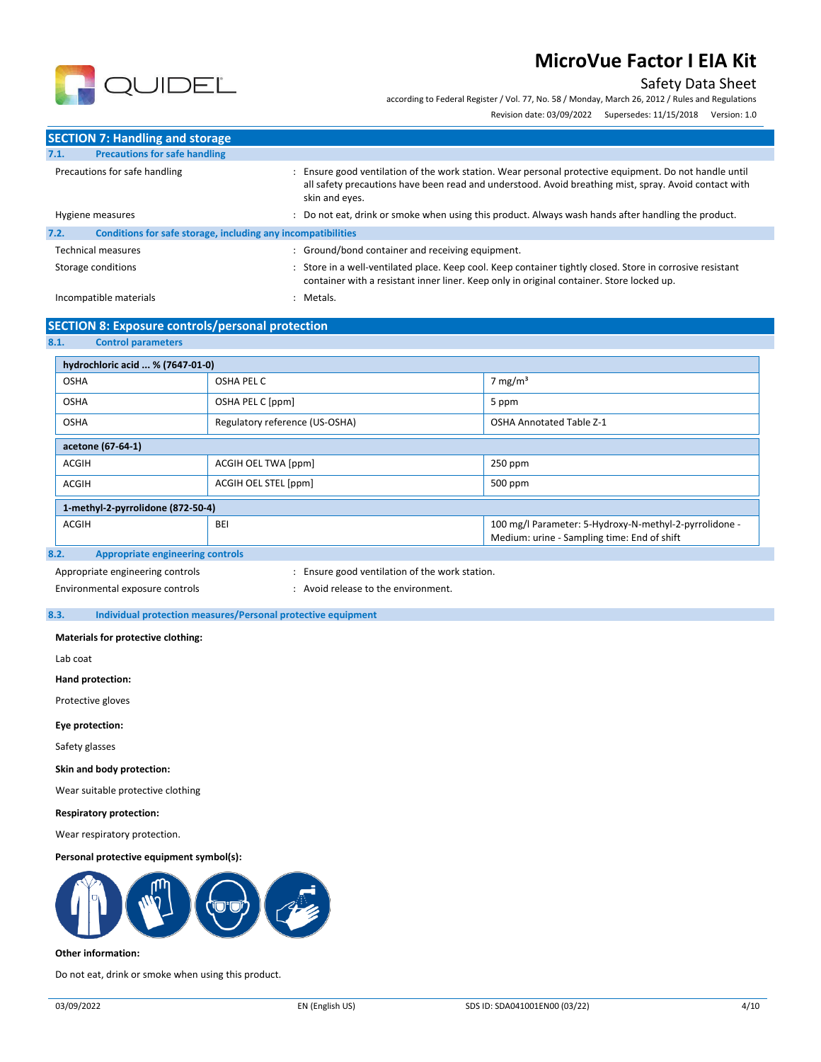# Safety Data Sheet

according to Federal Register / Vol. 77, No. 58 / Monday, March 26, 2012 / Rules and Regulations

Revision date: 03/09/2022 Supersedes: 11/15/2018 Version: 1.0



| <b>SECTION 7: Handling and storage</b>                               |                                                                                                                                                                                                                                 |
|----------------------------------------------------------------------|---------------------------------------------------------------------------------------------------------------------------------------------------------------------------------------------------------------------------------|
| <b>Precautions for safe handling</b><br>7.1.                         |                                                                                                                                                                                                                                 |
| Precautions for safe handling                                        | Ensure good ventilation of the work station. Wear personal protective equipment. Do not handle until<br>all safety precautions have been read and understood. Avoid breathing mist, spray. Avoid contact with<br>skin and eyes. |
| Hygiene measures                                                     | : Do not eat, drink or smoke when using this product. Always wash hands after handling the product.                                                                                                                             |
| 7.2.<br>Conditions for safe storage, including any incompatibilities |                                                                                                                                                                                                                                 |
| <b>Technical measures</b>                                            | : Ground/bond container and receiving equipment.                                                                                                                                                                                |
| Storage conditions                                                   | : Store in a well-ventilated place. Keep cool. Keep container tightly closed. Store in corrosive resistant<br>container with a resistant inner liner. Keep only in original container. Store locked up.                         |
| Incompatible materials                                               | Metals.                                                                                                                                                                                                                         |

### **SECTION 8: Exposure controls/personal protection**

#### **8.1. Control parameters**

| hydrochloric acid  % (7647-01-0)       |                                |                                                        |  |
|----------------------------------------|--------------------------------|--------------------------------------------------------|--|
| <b>OSHA</b>                            | OSHA PEL C                     | 7 mg/m $3$                                             |  |
| <b>OSHA</b>                            | OSHA PEL C [ppm]               | 5 ppm                                                  |  |
| <b>OSHA</b>                            | Regulatory reference (US-OSHA) | <b>OSHA Annotated Table Z-1</b>                        |  |
| acetone (67-64-1)                      |                                |                                                        |  |
| <b>ACGIH</b>                           | ACGIH OEL TWA [ppm]            | 250 ppm                                                |  |
| <b>ACGIH</b>                           | ACGIH OEL STEL [ppm]           | 500 ppm                                                |  |
| 1-methyl-2-pyrrolidone (872-50-4)      |                                |                                                        |  |
| <b>ACGIH</b>                           | BEI                            | 100 mg/l Parameter: 5-Hydroxy-N-methyl-2-pyrrolidone - |  |
|                                        |                                | Medium: urine - Sampling time: End of shift            |  |
| 82<br>Annropriate engineering controls |                                |                                                        |  |

#### **8.2. Appropriate engineering controls**

Appropriate engineering controls **intimulation** : Ensure good ventilation of the work station.

Environmental exposure controls entity and the environment.

#### **8.3. Individual protection measures/Personal protective equipment**

**Materials for protective clothing:**

Lab coat

**Hand protection:**

Protective gloves

**Eye protection:**

Safety glasses

**Skin and body protection:**

Wear suitable protective clothing

**Respiratory protection:**

Wear respiratory protection.

**Personal protective equipment symbol(s):**



#### **Other information:**

Do not eat, drink or smoke when using this product.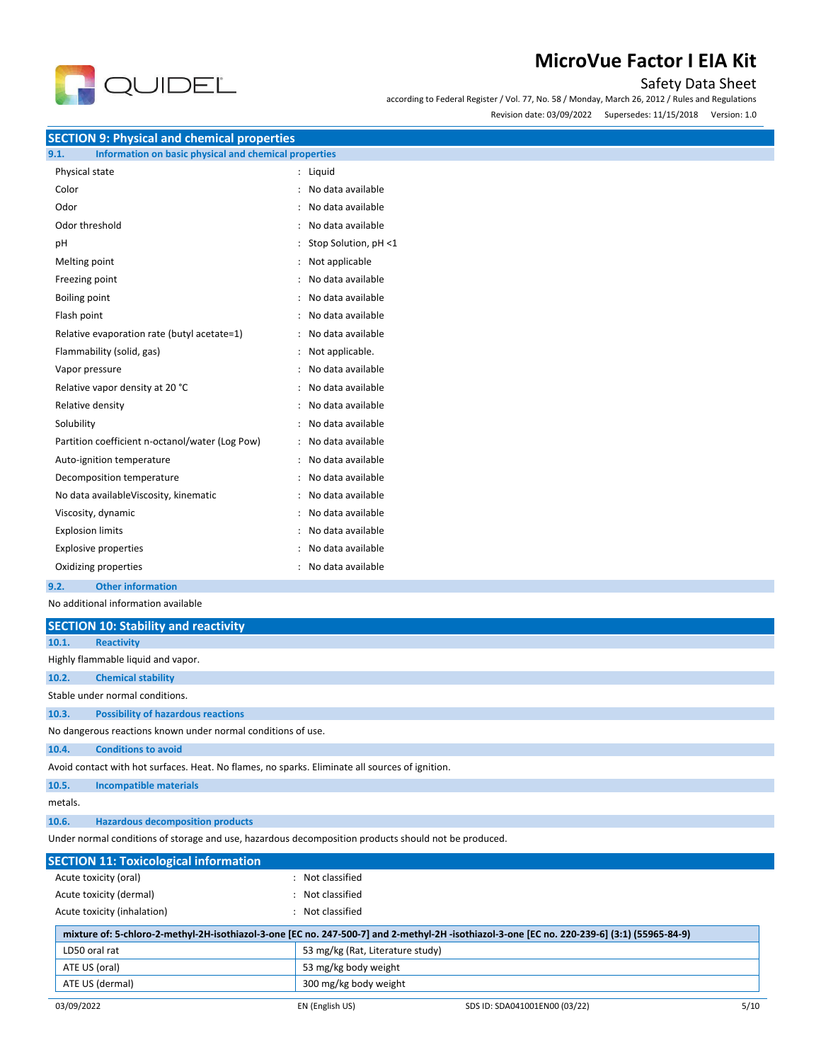

# Safety Data Sheet

according to Federal Register / Vol. 77, No. 58 / Monday, March 26, 2012 / Rules and Regulations

Revision date: 03/09/2022 Supersedes: 11/15/2018 Version: 1.0

**SECTION 9: Physical and chemical properties**

| 9.1. | Information on basic physical and chemical properties |  |  |  |
|------|-------------------------------------------------------|--|--|--|
|      |                                                       |  |  |  |

| Physical state                                  | Liquid               |
|-------------------------------------------------|----------------------|
| Color                                           | No data available    |
| Odor                                            | No data available    |
| Odor threshold                                  | No data available    |
| рH                                              | Stop Solution, pH <1 |
| Melting point                                   | Not applicable       |
| Freezing point                                  | No data available    |
| <b>Boiling point</b>                            | No data available    |
| Flash point                                     | No data available    |
| Relative evaporation rate (butyl acetate=1)     | No data available    |
| Flammability (solid, gas)                       | Not applicable.      |
| Vapor pressure                                  | No data available    |
| Relative vapor density at 20 °C                 | No data available    |
| Relative density                                | No data available    |
| Solubility                                      | No data available    |
| Partition coefficient n-octanol/water (Log Pow) | No data available    |
| Auto-ignition temperature                       | No data available    |
| Decomposition temperature                       | No data available    |
| No data availableViscosity, kinematic           | No data available    |
| Viscosity, dynamic                              | No data available    |
| <b>Explosion limits</b>                         | No data available    |
| <b>Explosive properties</b>                     | No data available    |
| Oxidizing properties                            | No data available    |
|                                                 |                      |

**9.2. Other information**

No additional information available

|         | <b>SECTION 10: Stability and reactivity</b>                                                     |  |  |
|---------|-------------------------------------------------------------------------------------------------|--|--|
| 10.1.   | <b>Reactivity</b>                                                                               |  |  |
|         | Highly flammable liquid and vapor.                                                              |  |  |
| 10.2.   | <b>Chemical stability</b>                                                                       |  |  |
|         | Stable under normal conditions.                                                                 |  |  |
| 10.3.   | <b>Possibility of hazardous reactions</b>                                                       |  |  |
|         | No dangerous reactions known under normal conditions of use.                                    |  |  |
| 10.4.   | <b>Conditions to avoid</b>                                                                      |  |  |
|         | Avoid contact with hot surfaces. Heat. No flames, no sparks. Eliminate all sources of ignition. |  |  |
| 10.5.   | <b>Incompatible materials</b>                                                                   |  |  |
| metals. |                                                                                                 |  |  |
| 10.6.   | <b>Hazardous decomposition products</b>                                                         |  |  |

Under normal conditions of storage and use, hazardous decomposition products should not be produced.

| <b>SECTION 11: Toxicological information</b> |                                  |                                                                                                                                             |      |
|----------------------------------------------|----------------------------------|---------------------------------------------------------------------------------------------------------------------------------------------|------|
| Acute toxicity (oral)                        | Not classified                   |                                                                                                                                             |      |
| Acute toxicity (dermal)                      | Not classified                   |                                                                                                                                             |      |
| Acute toxicity (inhalation)                  | Not classified                   |                                                                                                                                             |      |
|                                              |                                  | mixture of: 5-chloro-2-methyl-2H-isothiazol-3-one [EC no. 247-500-7] and 2-methyl-2H-isothiazol-3-one [EC no. 220-239-6] (3:1) (55965-84-9) |      |
| LD50 oral rat                                | 53 mg/kg (Rat, Literature study) |                                                                                                                                             |      |
| ATE US (oral)                                | 53 mg/kg body weight             |                                                                                                                                             |      |
| ATE US (dermal)                              | 300 mg/kg body weight            |                                                                                                                                             |      |
| 03/09/2022                                   | EN (English US)                  | SDS ID: SDA041001EN00 (03/22)                                                                                                               | 5/10 |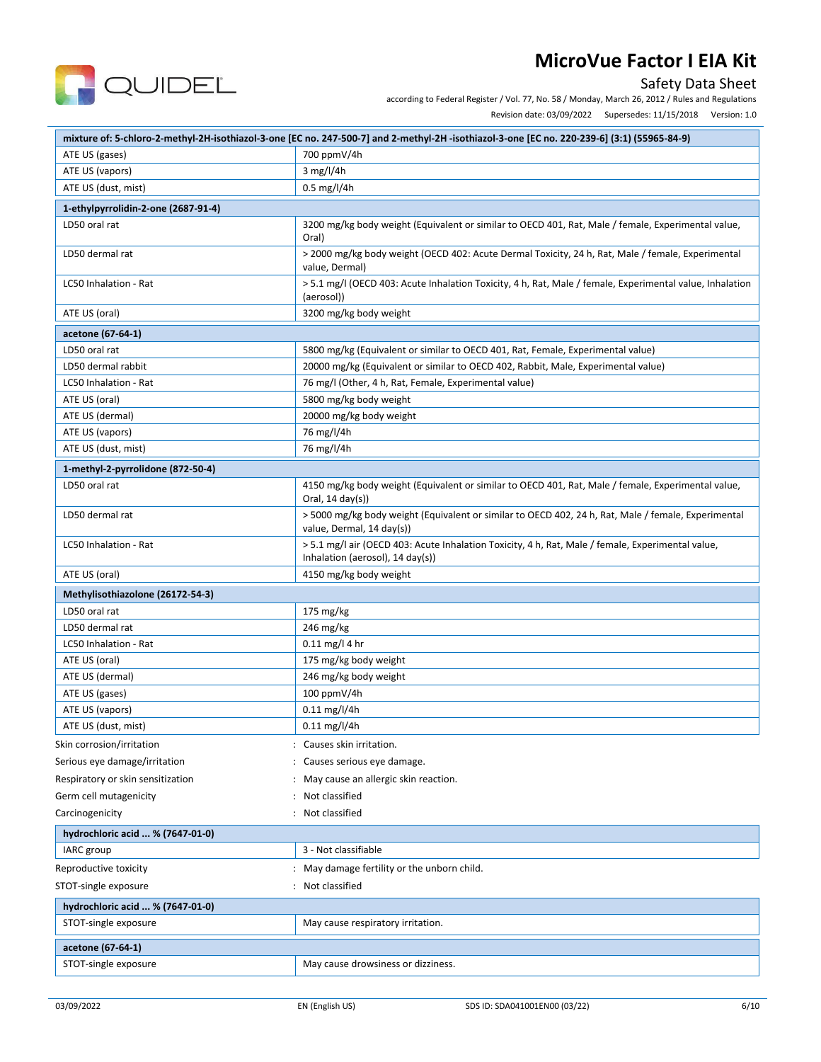

### Safety Data Sheet

according to Federal Register / Vol. 77, No. 58 / Monday, March 26, 2012 / Rules and Regulations

Revision date: 03/09/2022 Supersedes: 11/15/2018 Version: 1.0

|                                     | mixture of: 5-chloro-2-methyl-2H-isothiazol-3-one [EC no. 247-500-7] and 2-methyl-2H-isothiazol-3-one [EC no. 220-239-6] (3:1) (55965-84-9)      |  |  |
|-------------------------------------|--------------------------------------------------------------------------------------------------------------------------------------------------|--|--|
| ATE US (gases)                      | 700 ppmV/4h                                                                                                                                      |  |  |
| ATE US (vapors)                     | 3 mg/l/4h                                                                                                                                        |  |  |
| ATE US (dust, mist)                 | 0.5 mg/l/4h                                                                                                                                      |  |  |
| 1-ethylpyrrolidin-2-one (2687-91-4) |                                                                                                                                                  |  |  |
| LD50 oral rat                       | 3200 mg/kg body weight (Equivalent or similar to OECD 401, Rat, Male / female, Experimental value,<br>Oral)                                      |  |  |
| LD50 dermal rat                     | > 2000 mg/kg body weight (OECD 402: Acute Dermal Toxicity, 24 h, Rat, Male / female, Experimental<br>value, Dermal)                              |  |  |
| LC50 Inhalation - Rat               | > 5.1 mg/l (OECD 403: Acute Inhalation Toxicity, 4 h, Rat, Male / female, Experimental value, Inhalation<br>(aerosol))                           |  |  |
| ATE US (oral)                       | 3200 mg/kg body weight                                                                                                                           |  |  |
| acetone (67-64-1)                   |                                                                                                                                                  |  |  |
| LD50 oral rat                       | 5800 mg/kg (Equivalent or similar to OECD 401, Rat, Female, Experimental value)                                                                  |  |  |
| LD50 dermal rabbit                  | 20000 mg/kg (Equivalent or similar to OECD 402, Rabbit, Male, Experimental value)                                                                |  |  |
| LC50 Inhalation - Rat               | 76 mg/l (Other, 4 h, Rat, Female, Experimental value)                                                                                            |  |  |
| ATE US (oral)                       | 5800 mg/kg body weight                                                                                                                           |  |  |
| ATE US (dermal)                     | 20000 mg/kg body weight                                                                                                                          |  |  |
| ATE US (vapors)                     | 76 mg/l/4h                                                                                                                                       |  |  |
| ATE US (dust, mist)                 | 76 mg/l/4h                                                                                                                                       |  |  |
| 1-methyl-2-pyrrolidone (872-50-4)   |                                                                                                                                                  |  |  |
| LD50 oral rat                       | 4150 mg/kg body weight (Equivalent or similar to OECD 401, Rat, Male / female, Experimental value,<br>Oral, $14 \text{ day}(s)$                  |  |  |
| LD50 dermal rat                     | > 5000 mg/kg body weight (Equivalent or similar to OECD 402, 24 h, Rat, Male / female, Experimental<br>value, Dermal, 14 day(s))                 |  |  |
| LC50 Inhalation - Rat               | > 5.1 mg/l air (OECD 403: Acute Inhalation Toxicity, 4 h, Rat, Male / female, Experimental value,<br>Inhalation (aerosol), $14 \text{ day(s)}$ ) |  |  |
| ATE US (oral)                       | 4150 mg/kg body weight                                                                                                                           |  |  |
| Methylisothiazolone (26172-54-3)    |                                                                                                                                                  |  |  |
| LD50 oral rat                       | 175 mg/kg                                                                                                                                        |  |  |
| LD50 dermal rat                     | 246 mg/kg                                                                                                                                        |  |  |
| LC50 Inhalation - Rat               | $0.11$ mg/l 4 hr                                                                                                                                 |  |  |
| ATE US (oral)                       | 175 mg/kg body weight                                                                                                                            |  |  |
| ATE US (dermal)                     | 246 mg/kg body weight                                                                                                                            |  |  |
| ATE US (gases)                      | 100 ppmV/4h                                                                                                                                      |  |  |
| ATE US (vapors)                     | $0.11$ mg/l/4h                                                                                                                                   |  |  |
| ATE US (dust, mist)                 | $0.11$ mg/l/4h                                                                                                                                   |  |  |
| Skin corrosion/irritation           | : Causes skin irritation.                                                                                                                        |  |  |
| Serious eye damage/irritation       | Causes serious eye damage.                                                                                                                       |  |  |
| Respiratory or skin sensitization   | May cause an allergic skin reaction.                                                                                                             |  |  |
| Germ cell mutagenicity              | Not classified                                                                                                                                   |  |  |
| Carcinogenicity                     | Not classified                                                                                                                                   |  |  |
| hydrochloric acid  % (7647-01-0)    |                                                                                                                                                  |  |  |
| IARC group                          | 3 - Not classifiable                                                                                                                             |  |  |
|                                     |                                                                                                                                                  |  |  |
| Reproductive toxicity               | May damage fertility or the unborn child.<br>$\ddot{\phantom{a}}$                                                                                |  |  |
| STOT-single exposure                | Not classified                                                                                                                                   |  |  |
| hydrochloric acid  % (7647-01-0)    |                                                                                                                                                  |  |  |
| STOT-single exposure                | May cause respiratory irritation.                                                                                                                |  |  |
| acetone (67-64-1)                   |                                                                                                                                                  |  |  |
| STOT-single exposure                | May cause drowsiness or dizziness.                                                                                                               |  |  |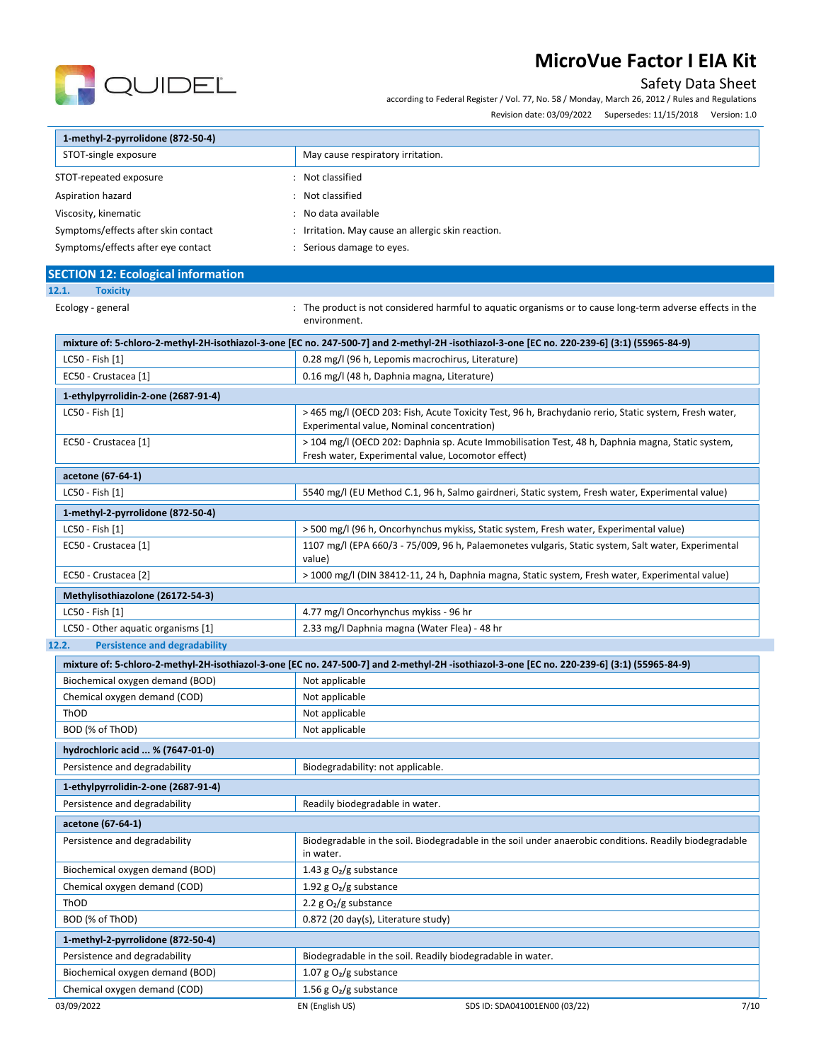

Safety Data Sheet

|                                           | according to Federal Register / Vol. 77, No. 58 / Monday, March 26, 2012 / Rules and Regulations                                                       |
|-------------------------------------------|--------------------------------------------------------------------------------------------------------------------------------------------------------|
|                                           | Revision date: 03/09/2022 Supersedes: 11/15/2018 Version: 1.0                                                                                          |
| 1-methyl-2-pyrrolidone (872-50-4)         |                                                                                                                                                        |
| STOT-single exposure                      | May cause respiratory irritation.                                                                                                                      |
| STOT-repeated exposure                    | : Not classified                                                                                                                                       |
| Aspiration hazard                         | : Not classified                                                                                                                                       |
| Viscosity, kinematic                      | No data available                                                                                                                                      |
| Symptoms/effects after skin contact       | : Irritation. May cause an allergic skin reaction.                                                                                                     |
| Symptoms/effects after eye contact        | : Serious damage to eyes.                                                                                                                              |
| <b>SECTION 12: Ecological information</b> |                                                                                                                                                        |
| 12.1.<br><b>Toxicity</b>                  |                                                                                                                                                        |
| Ecology - general                         | : The product is not considered harmful to aquatic organisms or to cause long-term adverse effects in the<br>environment.                              |
|                                           | mixture of: 5-chloro-2-methyl-2H-isothiazol-3-one [EC no. 247-500-7] and 2-methyl-2H-isothiazol-3-one [EC no. 220-239-6] (3:1) (55965-84-9)            |
| LC50 - Fish [1]                           | 0.28 mg/l (96 h, Lepomis macrochirus, Literature)                                                                                                      |
| EC50 - Crustacea [1]                      | 0.16 mg/l (48 h, Daphnia magna, Literature)                                                                                                            |
| 1-ethylpyrrolidin-2-one (2687-91-4)       |                                                                                                                                                        |
| LC50 - Fish [1]                           | > 465 mg/l (OECD 203: Fish, Acute Toxicity Test, 96 h, Brachydanio rerio, Static system, Fresh water,<br>Experimental value, Nominal concentration)    |
| EC50 - Crustacea [1]                      | > 104 mg/l (OECD 202: Daphnia sp. Acute Immobilisation Test, 48 h, Daphnia magna, Static system,<br>Fresh water, Experimental value, Locomotor effect) |
| acetone (67-64-1)                         |                                                                                                                                                        |
| LC50 - Fish [1]                           | 5540 mg/l (EU Method C.1, 96 h, Salmo gairdneri, Static system, Fresh water, Experimental value)                                                       |
| 1-methyl-2-pyrrolidone (872-50-4)         |                                                                                                                                                        |
| LC50 - Fish [1]                           | > 500 mg/l (96 h, Oncorhynchus mykiss, Static system, Fresh water, Experimental value)                                                                 |
| EC50 - Crustacea [1]                      | 1107 mg/l (EPA 660/3 - 75/009, 96 h, Palaemonetes vulgaris, Static system, Salt water, Experimental                                                    |

| $1000$ $10000$                     | <u>110, ingled the cools and cool south and chroneces</u> valgans, static system, sait water, Experimental |
|------------------------------------|------------------------------------------------------------------------------------------------------------|
|                                    | value)                                                                                                     |
| EC50 - Crustacea [2]               | > 1000 mg/l (DIN 38412-11, 24 h, Daphnia magna, Static system, Fresh water, Experimental value)            |
| Methylisothiazolone (26172-54-3)   |                                                                                                            |
| LC50 - Fish [1]                    | 4.77 mg/l Oncorhynchus mykiss - 96 hr                                                                      |
| LC50 - Other aquatic organisms [1] | 2.33 mg/l Daphnia magna (Water Flea) - 48 hr                                                               |

### **12.2. Persistence and degradability**

|                                     |                                     | mixture of: 5-chloro-2-methyl-2H-isothiazol-3-one [EC no. 247-500-7] and 2-methyl-2H-isothiazol-3-one [EC no. 220-239-6] (3:1) (55965-84-9) |      |
|-------------------------------------|-------------------------------------|---------------------------------------------------------------------------------------------------------------------------------------------|------|
| Biochemical oxygen demand (BOD)     | Not applicable                      |                                                                                                                                             |      |
| Chemical oxygen demand (COD)        | Not applicable                      |                                                                                                                                             |      |
| ThOD                                | Not applicable                      |                                                                                                                                             |      |
| BOD (% of ThOD)                     | Not applicable                      |                                                                                                                                             |      |
| hydrochloric acid  % (7647-01-0)    |                                     |                                                                                                                                             |      |
| Persistence and degradability       | Biodegradability: not applicable.   |                                                                                                                                             |      |
| 1-ethylpyrrolidin-2-one (2687-91-4) |                                     |                                                                                                                                             |      |
| Persistence and degradability       | Readily biodegradable in water.     |                                                                                                                                             |      |
| acetone (67-64-1)                   |                                     |                                                                                                                                             |      |
| Persistence and degradability       | in water.                           | Biodegradable in the soil. Biodegradable in the soil under anaerobic conditions. Readily biodegradable                                      |      |
| Biochemical oxygen demand (BOD)     | 1.43 g $O_2/g$ substance            |                                                                                                                                             |      |
| Chemical oxygen demand (COD)        | 1.92 g $O_2/g$ substance            |                                                                                                                                             |      |
| ThOD                                | 2.2 $g O2/g$ substance              |                                                                                                                                             |      |
| BOD (% of ThOD)                     | 0.872 (20 day(s), Literature study) |                                                                                                                                             |      |
| 1-methyl-2-pyrrolidone (872-50-4)   |                                     |                                                                                                                                             |      |
| Persistence and degradability       |                                     | Biodegradable in the soil. Readily biodegradable in water.                                                                                  |      |
| Biochemical oxygen demand (BOD)     | 1.07 g $O_2/g$ substance            |                                                                                                                                             |      |
| Chemical oxygen demand (COD)        | 1.56 g $O_2/g$ substance            |                                                                                                                                             |      |
| 03/09/2022                          | EN (English US)                     | SDS ID: SDA041001EN00 (03/22)                                                                                                               | 7/10 |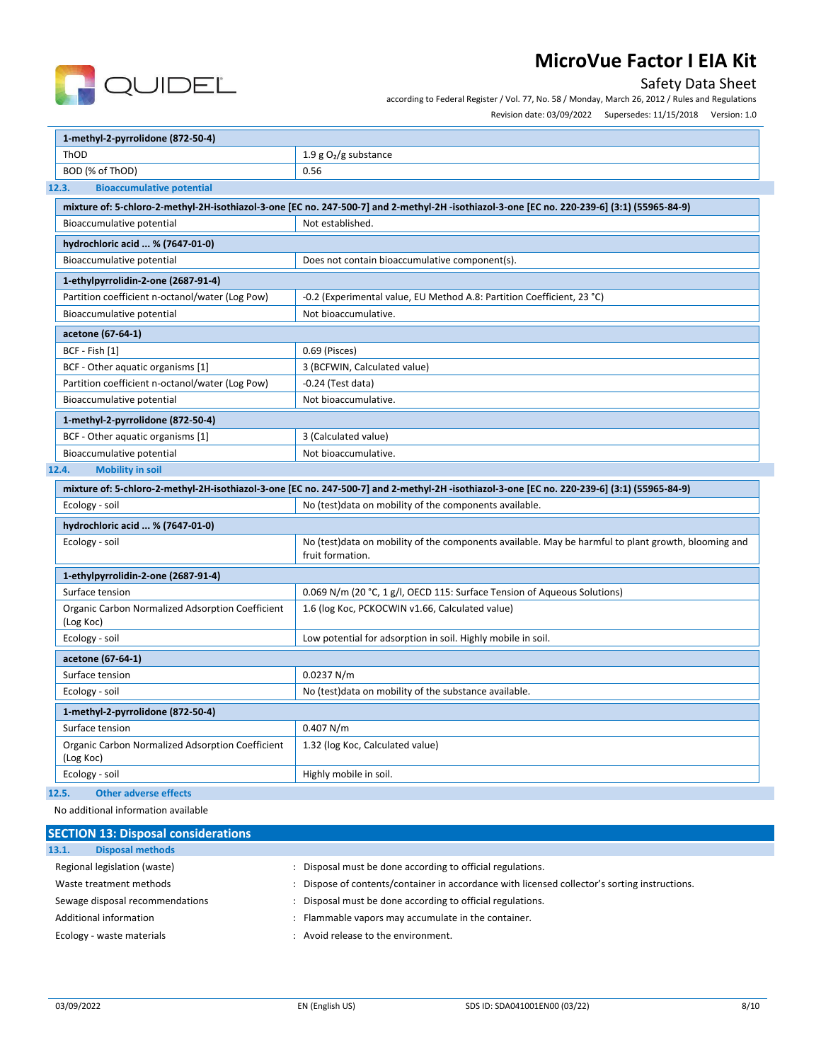

# Safety Data Sheet

according to Federal Register / Vol. 77, No. 58 / Monday, March 26, 2012 / Rules and Regulations

Revision date: 03/09/2022 Supersedes: 11/15/2018 Version: 1.0

| 1-methyl-2-pyrrolidone (872-50-4)                                                                                                            |                                                                                                                                              |  |
|----------------------------------------------------------------------------------------------------------------------------------------------|----------------------------------------------------------------------------------------------------------------------------------------------|--|
| ThOD<br>1.9 $g O2/g$ substance                                                                                                               |                                                                                                                                              |  |
| BOD (% of ThOD)<br>0.56                                                                                                                      |                                                                                                                                              |  |
| 12.3.<br><b>Bioaccumulative potential</b>                                                                                                    |                                                                                                                                              |  |
| mixture of: 5-chloro-2-methyl-2H-isothiazol-3-one [EC no. 247-500-7] and 2-methyl-2H -isothiazol-3-one [EC no. 220-239-6] (3:1) (55965-84-9) |                                                                                                                                              |  |
| Bioaccumulative potential                                                                                                                    | Not established.                                                                                                                             |  |
| hydrochloric acid  % (7647-01-0)                                                                                                             |                                                                                                                                              |  |
| Bioaccumulative potential                                                                                                                    | Does not contain bioaccumulative component(s).                                                                                               |  |
| 1-ethylpyrrolidin-2-one (2687-91-4)                                                                                                          |                                                                                                                                              |  |
| Partition coefficient n-octanol/water (Log Pow)                                                                                              | -0.2 (Experimental value, EU Method A.8: Partition Coefficient, 23 °C)                                                                       |  |
| Bioaccumulative potential                                                                                                                    | Not bioaccumulative.                                                                                                                         |  |
| acetone (67-64-1)                                                                                                                            |                                                                                                                                              |  |
| BCF - Fish [1]                                                                                                                               | 0.69 (Pisces)                                                                                                                                |  |
| BCF - Other aquatic organisms [1]                                                                                                            | 3 (BCFWIN, Calculated value)                                                                                                                 |  |
| Partition coefficient n-octanol/water (Log Pow)                                                                                              | $-0.24$ (Test data)                                                                                                                          |  |
| Bioaccumulative potential                                                                                                                    | Not bioaccumulative.                                                                                                                         |  |
| 1-methyl-2-pyrrolidone (872-50-4)                                                                                                            |                                                                                                                                              |  |
| BCF - Other aquatic organisms [1]<br>3 (Calculated value)                                                                                    |                                                                                                                                              |  |
| Bioaccumulative potential                                                                                                                    | Not bioaccumulative.                                                                                                                         |  |
| 12.4.<br><b>Mobility in soil</b>                                                                                                             |                                                                                                                                              |  |
|                                                                                                                                              | mixture of: 5-chloro-2-methyl-2H-isothiazol-3-one [EC no. 247-500-7] and 2-methyl-2H -isothiazol-3-one [EC no. 220-239-6] (3:1) (55965-84-9) |  |
| Ecology - soil                                                                                                                               | No (test) data on mobility of the components available.                                                                                      |  |
| hydrochloric acid  % (7647-01-0)                                                                                                             |                                                                                                                                              |  |
| Ecology - soil                                                                                                                               | No (test)data on mobility of the components available. May be harmful to plant growth, blooming and<br>fruit formation.                      |  |
| 1-ethylpyrrolidin-2-one (2687-91-4)                                                                                                          |                                                                                                                                              |  |
| Surface tension                                                                                                                              | 0.069 N/m (20 °C, 1 g/l, OECD 115: Surface Tension of Aqueous Solutions)                                                                     |  |
| Organic Carbon Normalized Adsorption Coefficient<br>(Log Koc)                                                                                | 1.6 (log Koc, PCKOCWIN v1.66, Calculated value)                                                                                              |  |
| Ecology - soil                                                                                                                               | Low potential for adsorption in soil. Highly mobile in soil.                                                                                 |  |
| acetone (67-64-1)                                                                                                                            |                                                                                                                                              |  |
| Surface tension                                                                                                                              | 0.0237 N/m                                                                                                                                   |  |
| Ecology - soil                                                                                                                               | No (test) data on mobility of the substance available.                                                                                       |  |
| 1-methyl-2-pyrrolidone (872-50-4)                                                                                                            |                                                                                                                                              |  |
| Surface tension                                                                                                                              | 0.407 N/m                                                                                                                                    |  |
| Organic Carbon Normalized Adsorption Coefficient<br>(Log Koc)                                                                                | 1.32 (log Koc, Calculated value)                                                                                                             |  |
| Ecology - soil                                                                                                                               | Highly mobile in soil.                                                                                                                       |  |

**12.5. Other adverse effects**

No additional information available

| <b>SECTION 13: Disposal considerations</b> |                                                                                             |
|--------------------------------------------|---------------------------------------------------------------------------------------------|
| <b>Disposal methods</b><br>13.1.           |                                                                                             |
| Regional legislation (waste)               | Disposal must be done according to official regulations.                                    |
| Waste treatment methods                    | Dispose of contents/container in accordance with licensed collector's sorting instructions. |
| Sewage disposal recommendations            | Disposal must be done according to official regulations.                                    |
| Additional information                     | Flammable vapors may accumulate in the container.                                           |
| Ecology - waste materials                  | Avoid release to the environment.                                                           |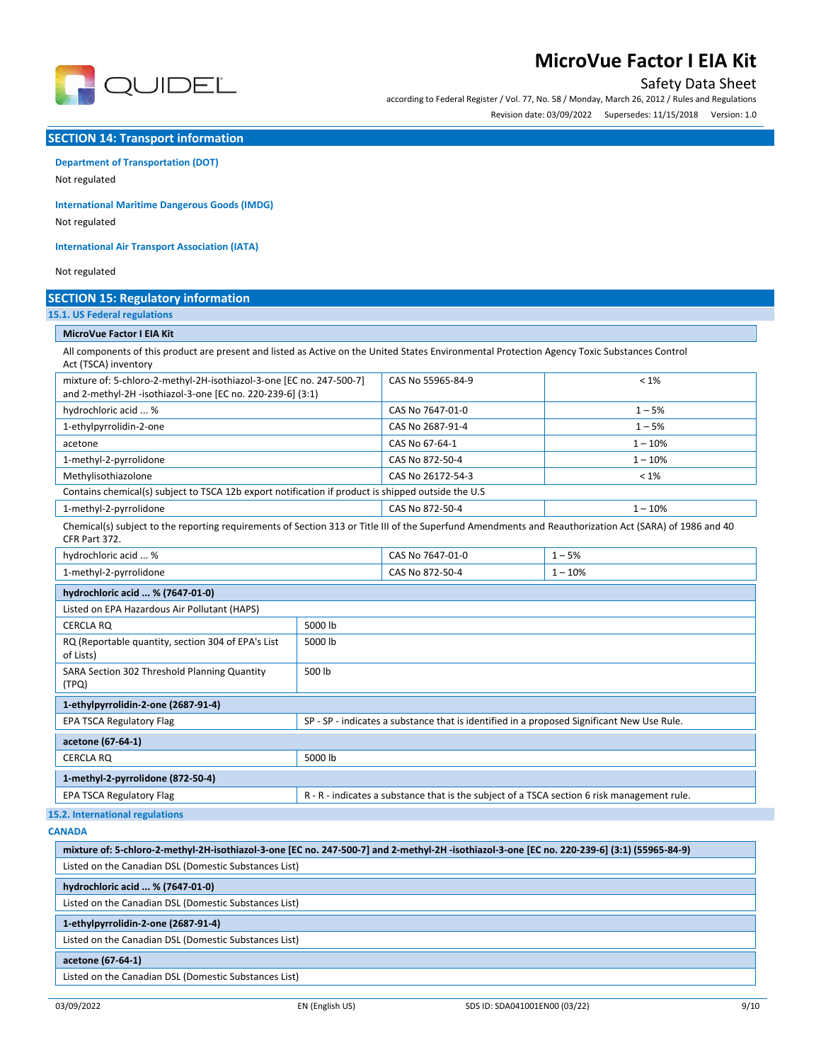

# Safety Data Sheet

according to Federal Register / Vol. 77, No. 58 / Monday, March 26, 2012 / Rules and Regulations Revision date: 03/09/2022 Supersedes: 11/15/2018 Version: 1.0

### **SECTION 14: Transport information**

# **Department of Transportation (DOT)**

Not regulated

**International Maritime Dangerous Goods (IMDG)**

Not regulated

**International Air Transport Association (IATA)**

#### Not regulated

### **SECTION 15: Regulatory information**

### **15.1. US Federal regulations**

### **MicroVue Factor I EIA Kit**

All components of this product are present and listed as Active on the United States Environmental Protection Agency Toxic Substances Control Act (TSCA) inventory

| mixture of: 5-chloro-2-methyl-2H-isothiazol-3-one [EC no. 247-500-7]<br>and 2-methyl-2H -isothiazol-3-one [EC no. 220-239-6] (3:1)                                       |         | CAS No 55965-84-9                                                                          | $< 1\%$                                                                                     |
|--------------------------------------------------------------------------------------------------------------------------------------------------------------------------|---------|--------------------------------------------------------------------------------------------|---------------------------------------------------------------------------------------------|
| hydrochloric acid  %                                                                                                                                                     |         | CAS No 7647-01-0                                                                           | $1 - 5%$                                                                                    |
| 1-ethylpyrrolidin-2-one                                                                                                                                                  |         | CAS No 2687-91-4                                                                           | $1 - 5%$                                                                                    |
| acetone                                                                                                                                                                  |         | CAS No 67-64-1                                                                             | $1 - 10%$                                                                                   |
| 1-methyl-2-pyrrolidone                                                                                                                                                   |         | CAS No 872-50-4                                                                            | $1 - 10%$                                                                                   |
| Methylisothiazolone                                                                                                                                                      |         | CAS No 26172-54-3                                                                          | $< 1\%$                                                                                     |
| Contains chemical(s) subject to TSCA 12b export notification if product is shipped outside the U.S                                                                       |         |                                                                                            |                                                                                             |
| 1-methyl-2-pyrrolidone                                                                                                                                                   |         | CAS No 872-50-4                                                                            | $1 - 10%$                                                                                   |
| Chemical(s) subject to the reporting requirements of Section 313 or Title III of the Superfund Amendments and Reauthorization Act (SARA) of 1986 and 40<br>CFR Part 372. |         |                                                                                            |                                                                                             |
| hydrochloric acid  %                                                                                                                                                     |         | CAS No 7647-01-0                                                                           | $1 - 5%$                                                                                    |
| 1-methyl-2-pyrrolidone                                                                                                                                                   |         | CAS No 872-50-4                                                                            | $1 - 10%$                                                                                   |
| hydrochloric acid  % (7647-01-0)                                                                                                                                         |         |                                                                                            |                                                                                             |
| Listed on EPA Hazardous Air Pollutant (HAPS)                                                                                                                             |         |                                                                                            |                                                                                             |
| <b>CERCLA RO</b>                                                                                                                                                         | 5000 lb |                                                                                            |                                                                                             |
| RQ (Reportable quantity, section 304 of EPA's List<br>of Lists)                                                                                                          | 5000 lb |                                                                                            |                                                                                             |
| SARA Section 302 Threshold Planning Quantity<br>(TPQ)                                                                                                                    | 500 lb  |                                                                                            |                                                                                             |
| 1-ethylpyrrolidin-2-one (2687-91-4)                                                                                                                                      |         |                                                                                            |                                                                                             |
| <b>EPA TSCA Regulatory Flag</b>                                                                                                                                          |         | SP - SP - indicates a substance that is identified in a proposed Significant New Use Rule. |                                                                                             |
| acetone (67-64-1)                                                                                                                                                        |         |                                                                                            |                                                                                             |
| <b>CERCLA RO</b>                                                                                                                                                         | 5000 lb |                                                                                            |                                                                                             |
| 1-methyl-2-pyrrolidone (872-50-4)                                                                                                                                        |         |                                                                                            |                                                                                             |
| <b>EPA TSCA Regulatory Flag</b>                                                                                                                                          |         |                                                                                            | R - R - indicates a substance that is the subject of a TSCA section 6 risk management rule. |
| 15.2. International regulations                                                                                                                                          |         |                                                                                            |                                                                                             |
| <b>CANADA</b>                                                                                                                                                            |         |                                                                                            |                                                                                             |
|                                                                                                                                                                          |         |                                                                                            |                                                                                             |

| mixture of: 5-chloro-2-methyl-2H-isothiazol-3-one [EC no. 247-500-7] and 2-methyl-2H-isothiazol-3-one [EC no. 220-239-6] (3:1) (55965-84-9) |  |
|---------------------------------------------------------------------------------------------------------------------------------------------|--|
| Listed on the Canadian DSL (Domestic Substances List)                                                                                       |  |
| hydrochloric acid  % (7647-01-0)                                                                                                            |  |
| Listed on the Canadian DSL (Domestic Substances List)                                                                                       |  |
| 1-ethylpyrrolidin-2-one (2687-91-4)                                                                                                         |  |
| Listed on the Canadian DSL (Domestic Substances List)                                                                                       |  |
| acetone (67-64-1)                                                                                                                           |  |
| Listed on the Canadian DSL (Domestic Substances List)                                                                                       |  |